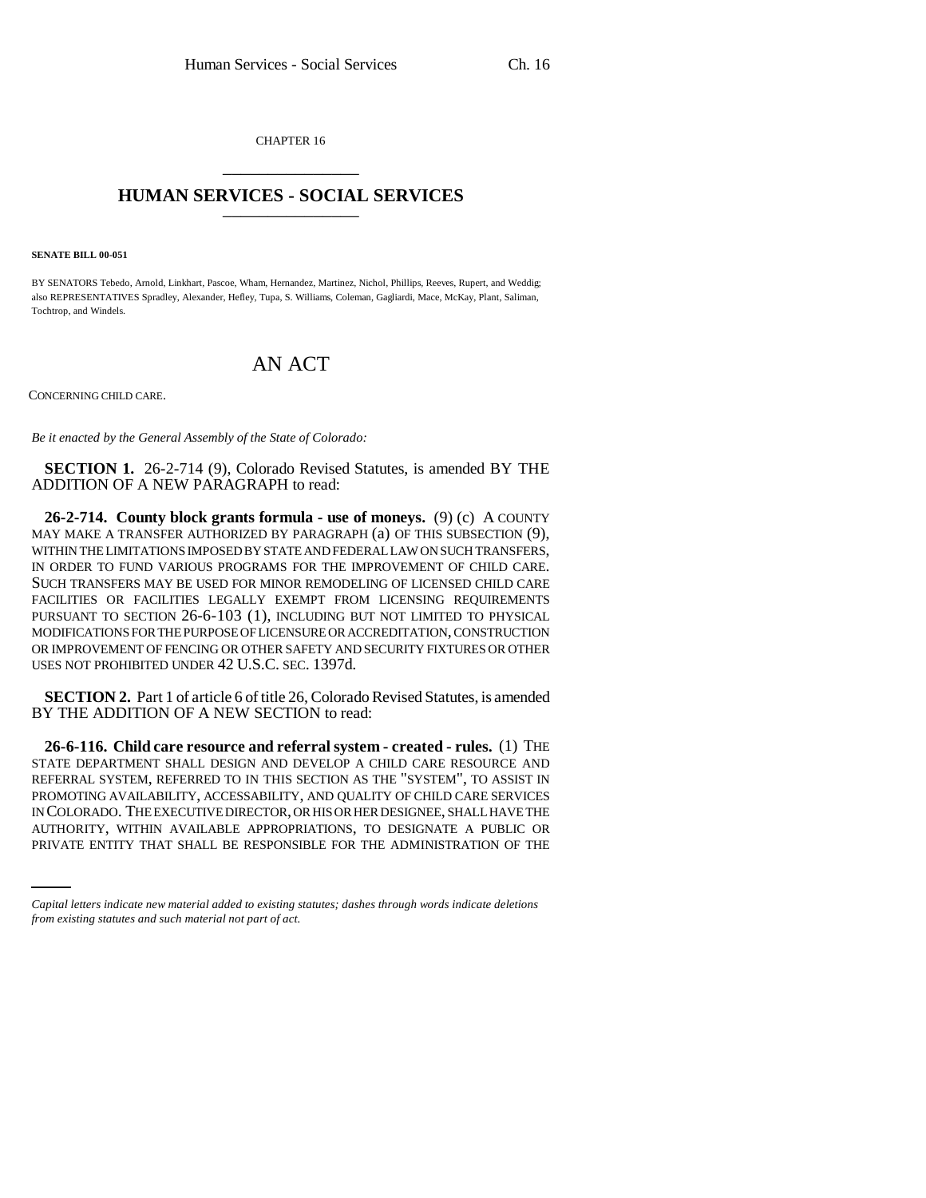CHAPTER 16 \_\_\_\_\_\_\_\_\_\_\_\_\_\_\_

## **HUMAN SERVICES - SOCIAL SERVICES** \_\_\_\_\_\_\_\_\_\_\_\_\_\_\_

**SENATE BILL 00-051** 

BY SENATORS Tebedo, Arnold, Linkhart, Pascoe, Wham, Hernandez, Martinez, Nichol, Phillips, Reeves, Rupert, and Weddig; also REPRESENTATIVES Spradley, Alexander, Hefley, Tupa, S. Williams, Coleman, Gagliardi, Mace, McKay, Plant, Saliman, Tochtrop, and Windels.

## AN ACT

CONCERNING CHILD CARE.

*Be it enacted by the General Assembly of the State of Colorado:*

**SECTION 1.** 26-2-714 (9), Colorado Revised Statutes, is amended BY THE ADDITION OF A NEW PARAGRAPH to read:

**26-2-714. County block grants formula - use of moneys.** (9) (c) A COUNTY MAY MAKE A TRANSFER AUTHORIZED BY PARAGRAPH (a) OF THIS SUBSECTION (9), WITHIN THE LIMITATIONS IMPOSED BY STATE AND FEDERAL LAW ON SUCH TRANSFERS, IN ORDER TO FUND VARIOUS PROGRAMS FOR THE IMPROVEMENT OF CHILD CARE. SUCH TRANSFERS MAY BE USED FOR MINOR REMODELING OF LICENSED CHILD CARE FACILITIES OR FACILITIES LEGALLY EXEMPT FROM LICENSING REQUIREMENTS PURSUANT TO SECTION 26-6-103 (1), INCLUDING BUT NOT LIMITED TO PHYSICAL MODIFICATIONS FOR THE PURPOSE OF LICENSURE OR ACCREDITATION, CONSTRUCTION OR IMPROVEMENT OF FENCING OR OTHER SAFETY AND SECURITY FIXTURES OR OTHER USES NOT PROHIBITED UNDER 42 U.S.C. SEC. 1397d.

**SECTION 2.** Part 1 of article 6 of title 26, Colorado Revised Statutes, is amended BY THE ADDITION OF A NEW SECTION to read:

IN COLORADO. THE EXECUTIVE DIRECTOR, OR HIS OR HER DESIGNEE, SHALL HAVE THE **26-6-116. Child care resource and referral system - created - rules.** (1) THE STATE DEPARTMENT SHALL DESIGN AND DEVELOP A CHILD CARE RESOURCE AND REFERRAL SYSTEM, REFERRED TO IN THIS SECTION AS THE "SYSTEM", TO ASSIST IN PROMOTING AVAILABILITY, ACCESSABILITY, AND QUALITY OF CHILD CARE SERVICES AUTHORITY, WITHIN AVAILABLE APPROPRIATIONS, TO DESIGNATE A PUBLIC OR PRIVATE ENTITY THAT SHALL BE RESPONSIBLE FOR THE ADMINISTRATION OF THE

*Capital letters indicate new material added to existing statutes; dashes through words indicate deletions from existing statutes and such material not part of act.*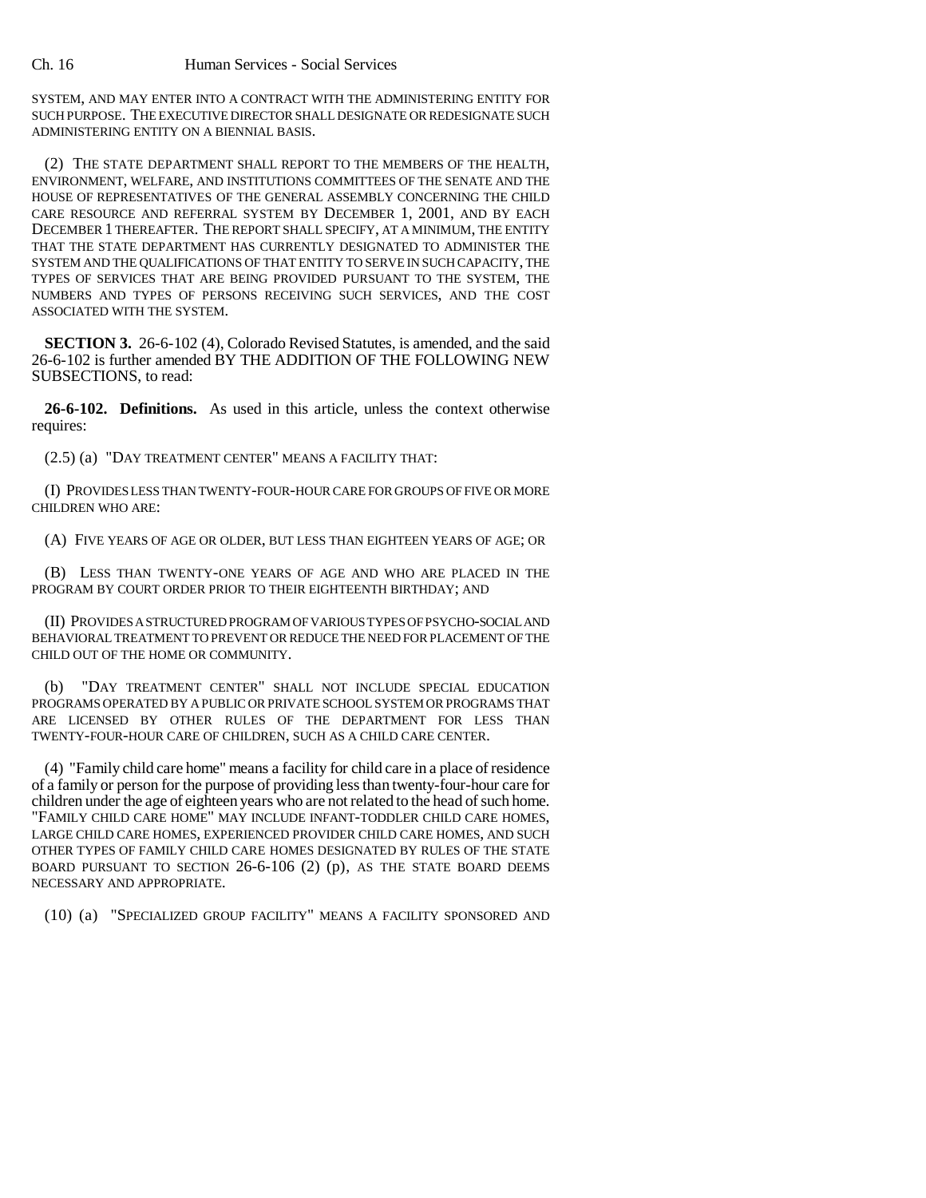SYSTEM, AND MAY ENTER INTO A CONTRACT WITH THE ADMINISTERING ENTITY FOR SUCH PURPOSE. THE EXECUTIVE DIRECTOR SHALL DESIGNATE OR REDESIGNATE SUCH ADMINISTERING ENTITY ON A BIENNIAL BASIS.

(2) THE STATE DEPARTMENT SHALL REPORT TO THE MEMBERS OF THE HEALTH, ENVIRONMENT, WELFARE, AND INSTITUTIONS COMMITTEES OF THE SENATE AND THE HOUSE OF REPRESENTATIVES OF THE GENERAL ASSEMBLY CONCERNING THE CHILD CARE RESOURCE AND REFERRAL SYSTEM BY DECEMBER 1, 2001, AND BY EACH DECEMBER 1 THEREAFTER. THE REPORT SHALL SPECIFY, AT A MINIMUM, THE ENTITY THAT THE STATE DEPARTMENT HAS CURRENTLY DESIGNATED TO ADMINISTER THE SYSTEM AND THE QUALIFICATIONS OF THAT ENTITY TO SERVE IN SUCH CAPACITY, THE TYPES OF SERVICES THAT ARE BEING PROVIDED PURSUANT TO THE SYSTEM, THE NUMBERS AND TYPES OF PERSONS RECEIVING SUCH SERVICES, AND THE COST ASSOCIATED WITH THE SYSTEM.

**SECTION 3.** 26-6-102 (4), Colorado Revised Statutes, is amended, and the said 26-6-102 is further amended BY THE ADDITION OF THE FOLLOWING NEW SUBSECTIONS, to read:

**26-6-102. Definitions.** As used in this article, unless the context otherwise requires:

(2.5) (a) "DAY TREATMENT CENTER" MEANS A FACILITY THAT:

(I) PROVIDES LESS THAN TWENTY-FOUR-HOUR CARE FOR GROUPS OF FIVE OR MORE CHILDREN WHO ARE:

(A) FIVE YEARS OF AGE OR OLDER, BUT LESS THAN EIGHTEEN YEARS OF AGE; OR

(B) LESS THAN TWENTY-ONE YEARS OF AGE AND WHO ARE PLACED IN THE PROGRAM BY COURT ORDER PRIOR TO THEIR EIGHTEENTH BIRTHDAY; AND

(II) PROVIDES A STRUCTURED PROGRAM OF VARIOUS TYPES OF PSYCHO-SOCIAL AND BEHAVIORAL TREATMENT TO PREVENT OR REDUCE THE NEED FOR PLACEMENT OF THE CHILD OUT OF THE HOME OR COMMUNITY.

"DAY TREATMENT CENTER" SHALL NOT INCLUDE SPECIAL EDUCATION PROGRAMS OPERATED BY A PUBLIC OR PRIVATE SCHOOL SYSTEM OR PROGRAMS THAT ARE LICENSED BY OTHER RULES OF THE DEPARTMENT FOR LESS THAN TWENTY-FOUR-HOUR CARE OF CHILDREN, SUCH AS A CHILD CARE CENTER.

(4) "Family child care home" means a facility for child care in a place of residence of a family or person for the purpose of providing less than twenty-four-hour care for children under the age of eighteen years who are not related to the head of such home. "FAMILY CHILD CARE HOME" MAY INCLUDE INFANT-TODDLER CHILD CARE HOMES, LARGE CHILD CARE HOMES, EXPERIENCED PROVIDER CHILD CARE HOMES, AND SUCH OTHER TYPES OF FAMILY CHILD CARE HOMES DESIGNATED BY RULES OF THE STATE BOARD PURSUANT TO SECTION  $26-6-106$  (2) (p), AS THE STATE BOARD DEEMS NECESSARY AND APPROPRIATE.

(10) (a) "SPECIALIZED GROUP FACILITY" MEANS A FACILITY SPONSORED AND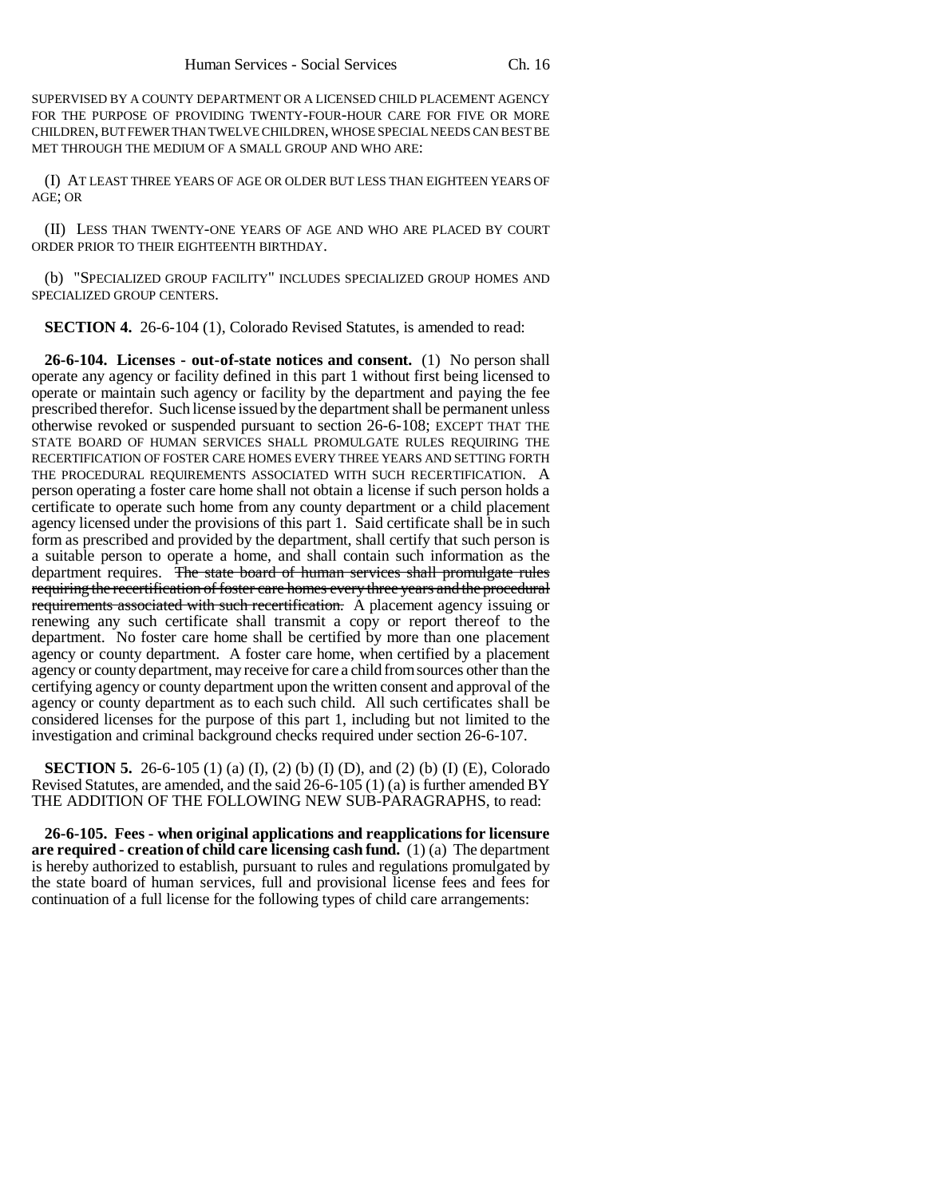SUPERVISED BY A COUNTY DEPARTMENT OR A LICENSED CHILD PLACEMENT AGENCY FOR THE PURPOSE OF PROVIDING TWENTY-FOUR-HOUR CARE FOR FIVE OR MORE CHILDREN, BUT FEWER THAN TWELVE CHILDREN, WHOSE SPECIAL NEEDS CAN BEST BE MET THROUGH THE MEDIUM OF A SMALL GROUP AND WHO ARE:

(I) AT LEAST THREE YEARS OF AGE OR OLDER BUT LESS THAN EIGHTEEN YEARS OF AGE; OR

(II) LESS THAN TWENTY-ONE YEARS OF AGE AND WHO ARE PLACED BY COURT ORDER PRIOR TO THEIR EIGHTEENTH BIRTHDAY.

(b) "SPECIALIZED GROUP FACILITY" INCLUDES SPECIALIZED GROUP HOMES AND SPECIALIZED GROUP CENTERS.

**SECTION 4.** 26-6-104 (1), Colorado Revised Statutes, is amended to read:

**26-6-104. Licenses - out-of-state notices and consent.** (1) No person shall operate any agency or facility defined in this part 1 without first being licensed to operate or maintain such agency or facility by the department and paying the fee prescribed therefor. Such license issued by the department shall be permanent unless otherwise revoked or suspended pursuant to section 26-6-108; EXCEPT THAT THE STATE BOARD OF HUMAN SERVICES SHALL PROMULGATE RULES REQUIRING THE RECERTIFICATION OF FOSTER CARE HOMES EVERY THREE YEARS AND SETTING FORTH THE PROCEDURAL REQUIREMENTS ASSOCIATED WITH SUCH RECERTIFICATION. A person operating a foster care home shall not obtain a license if such person holds a certificate to operate such home from any county department or a child placement agency licensed under the provisions of this part 1. Said certificate shall be in such form as prescribed and provided by the department, shall certify that such person is a suitable person to operate a home, and shall contain such information as the department requires. The state board of human services shall promulgate rules requiring the recertification of foster care homes every three years and the procedural requirements associated with such recertification. A placement agency issuing or renewing any such certificate shall transmit a copy or report thereof to the department. No foster care home shall be certified by more than one placement agency or county department. A foster care home, when certified by a placement agency or county department, may receive for care a child from sources other than the certifying agency or county department upon the written consent and approval of the agency or county department as to each such child. All such certificates shall be considered licenses for the purpose of this part 1, including but not limited to the investigation and criminal background checks required under section 26-6-107.

**SECTION 5.** 26-6-105 (1) (a) (I), (2) (b) (I) (D), and (2) (b) (I) (E), Colorado Revised Statutes, are amended, and the said 26-6-105 (1) (a) is further amended BY THE ADDITION OF THE FOLLOWING NEW SUB-PARAGRAPHS, to read:

**26-6-105. Fees - when original applications and reapplications for licensure are required - creation of child care licensing cash fund.** (1) (a) The department is hereby authorized to establish, pursuant to rules and regulations promulgated by the state board of human services, full and provisional license fees and fees for continuation of a full license for the following types of child care arrangements: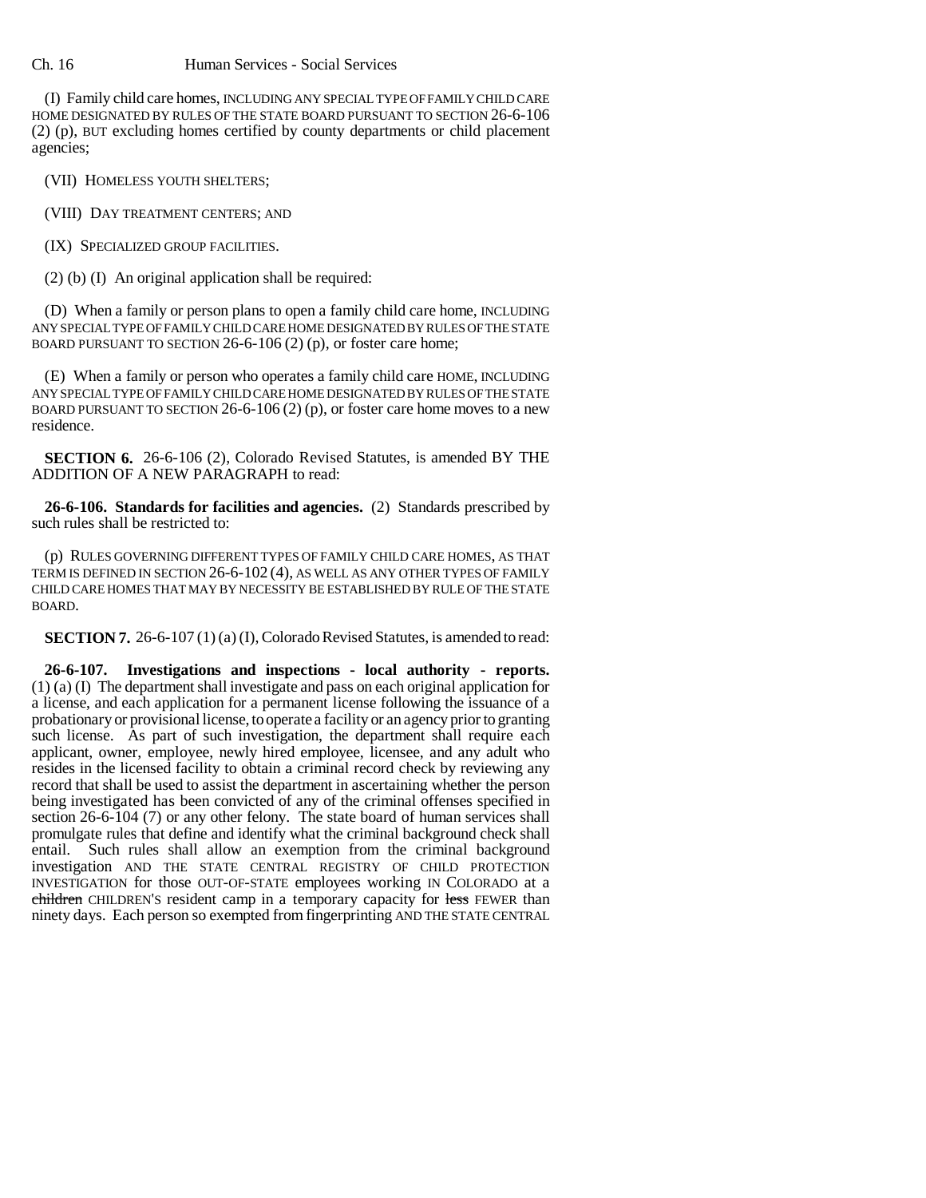## Ch. 16 Human Services - Social Services

(I) Family child care homes, INCLUDING ANY SPECIAL TYPE OF FAMILY CHILD CARE HOME DESIGNATED BY RULES OF THE STATE BOARD PURSUANT TO SECTION 26-6-106 (2) (p), BUT excluding homes certified by county departments or child placement agencies;

(VII) HOMELESS YOUTH SHELTERS;

(VIII) DAY TREATMENT CENTERS; AND

(IX) SPECIALIZED GROUP FACILITIES.

(2) (b) (I) An original application shall be required:

(D) When a family or person plans to open a family child care home, INCLUDING ANY SPECIAL TYPE OF FAMILY CHILD CARE HOME DESIGNATED BY RULES OF THE STATE BOARD PURSUANT TO SECTION 26-6-106 (2) (p), or foster care home;

(E) When a family or person who operates a family child care HOME, INCLUDING ANY SPECIAL TYPE OF FAMILY CHILD CARE HOME DESIGNATED BY RULES OF THE STATE BOARD PURSUANT TO SECTION  $26-6-106(2)$  (p), or foster care home moves to a new residence.

**SECTION 6.** 26-6-106 (2), Colorado Revised Statutes, is amended BY THE ADDITION OF A NEW PARAGRAPH to read:

**26-6-106. Standards for facilities and agencies.** (2) Standards prescribed by such rules shall be restricted to:

(p) RULES GOVERNING DIFFERENT TYPES OF FAMILY CHILD CARE HOMES, AS THAT TERM IS DEFINED IN SECTION 26-6-102 (4), AS WELL AS ANY OTHER TYPES OF FAMILY CHILD CARE HOMES THAT MAY BY NECESSITY BE ESTABLISHED BY RULE OF THE STATE BOARD.

**SECTION 7.** 26-6-107 (1) (a) (I), Colorado Revised Statutes, is amended to read:

**26-6-107. Investigations and inspections - local authority - reports.** (1) (a) (I) The department shall investigate and pass on each original application for a license, and each application for a permanent license following the issuance of a probationary or provisional license, to operate a facility or an agency prior to granting such license. As part of such investigation, the department shall require each applicant, owner, employee, newly hired employee, licensee, and any adult who resides in the licensed facility to obtain a criminal record check by reviewing any record that shall be used to assist the department in ascertaining whether the person being investigated has been convicted of any of the criminal offenses specified in section 26-6-104 (7) or any other felony. The state board of human services shall promulgate rules that define and identify what the criminal background check shall entail. Such rules shall allow an exemption from the criminal background investigation AND THE STATE CENTRAL REGISTRY OF CHILD PROTECTION INVESTIGATION for those OUT-OF-STATE employees working IN COLORADO at a children CHILDREN'S resident camp in a temporary capacity for less FEWER than ninety days. Each person so exempted from fingerprinting AND THE STATE CENTRAL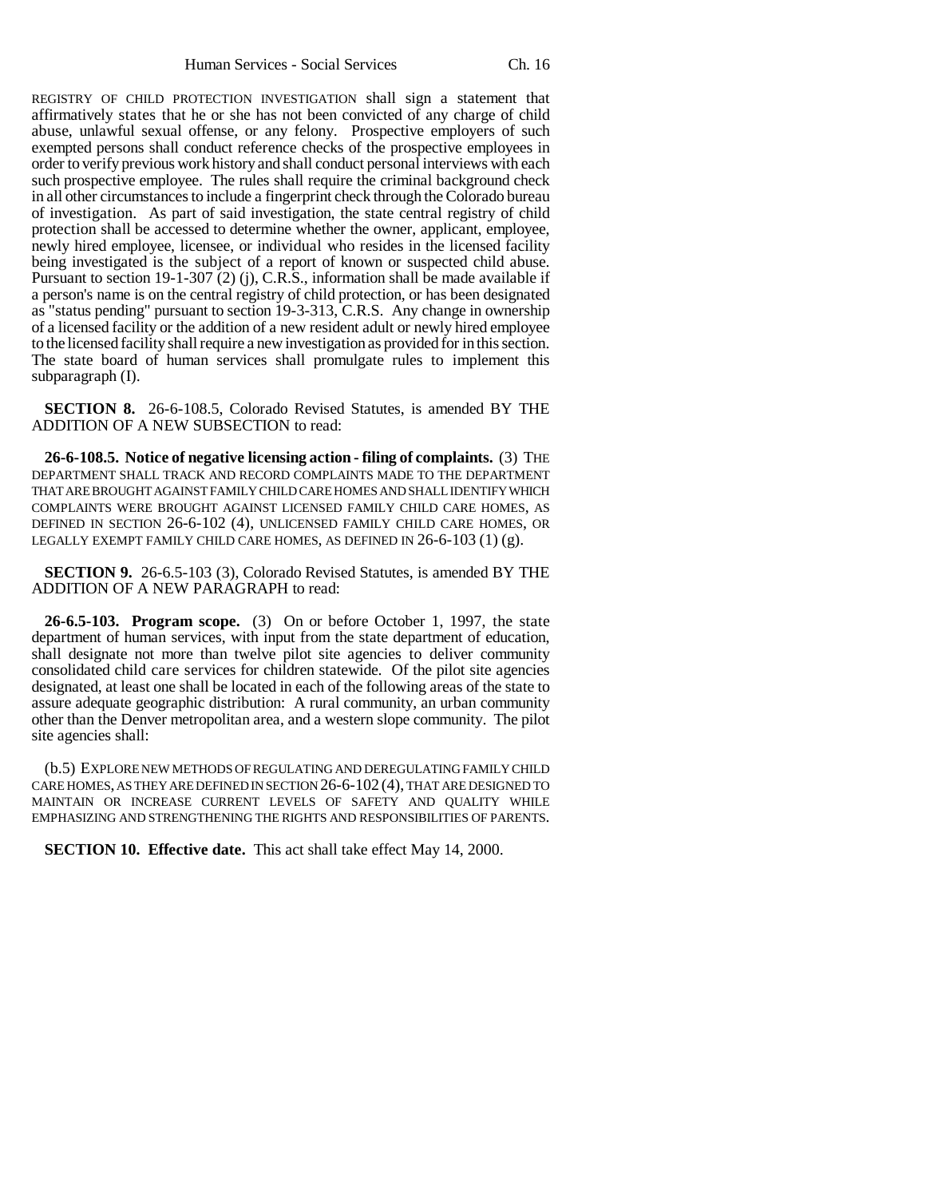REGISTRY OF CHILD PROTECTION INVESTIGATION shall sign a statement that affirmatively states that he or she has not been convicted of any charge of child abuse, unlawful sexual offense, or any felony. Prospective employers of such exempted persons shall conduct reference checks of the prospective employees in order to verify previous work history and shall conduct personal interviews with each such prospective employee. The rules shall require the criminal background check in all other circumstances to include a fingerprint check through the Colorado bureau of investigation. As part of said investigation, the state central registry of child protection shall be accessed to determine whether the owner, applicant, employee, newly hired employee, licensee, or individual who resides in the licensed facility being investigated is the subject of a report of known or suspected child abuse. Pursuant to section 19-1-307 (2) (j), C.R.S., information shall be made available if a person's name is on the central registry of child protection, or has been designated as "status pending" pursuant to section 19-3-313, C.R.S. Any change in ownership of a licensed facility or the addition of a new resident adult or newly hired employee to the licensed facility shall require a new investigation as provided for in this section. The state board of human services shall promulgate rules to implement this subparagraph (I).

**SECTION 8.** 26-6-108.5, Colorado Revised Statutes, is amended BY THE ADDITION OF A NEW SUBSECTION to read:

**26-6-108.5. Notice of negative licensing action - filing of complaints.** (3) THE DEPARTMENT SHALL TRACK AND RECORD COMPLAINTS MADE TO THE DEPARTMENT THAT ARE BROUGHT AGAINST FAMILY CHILD CARE HOMES AND SHALL IDENTIFY WHICH COMPLAINTS WERE BROUGHT AGAINST LICENSED FAMILY CHILD CARE HOMES, AS DEFINED IN SECTION 26-6-102 (4), UNLICENSED FAMILY CHILD CARE HOMES, OR LEGALLY EXEMPT FAMILY CHILD CARE HOMES, AS DEFINED IN 26-6-103 (1) (g).

**SECTION 9.** 26-6.5-103 (3), Colorado Revised Statutes, is amended BY THE ADDITION OF A NEW PARAGRAPH to read:

**26-6.5-103. Program scope.** (3) On or before October 1, 1997, the state department of human services, with input from the state department of education, shall designate not more than twelve pilot site agencies to deliver community consolidated child care services for children statewide. Of the pilot site agencies designated, at least one shall be located in each of the following areas of the state to assure adequate geographic distribution: A rural community, an urban community other than the Denver metropolitan area, and a western slope community. The pilot site agencies shall:

(b.5) EXPLORE NEW METHODS OF REGULATING AND DEREGULATING FAMILY CHILD CARE HOMES, AS THEY ARE DEFINED IN SECTION 26-6-102 (4), THAT ARE DESIGNED TO MAINTAIN OR INCREASE CURRENT LEVELS OF SAFETY AND QUALITY WHILE EMPHASIZING AND STRENGTHENING THE RIGHTS AND RESPONSIBILITIES OF PARENTS.

**SECTION 10. Effective date.** This act shall take effect May 14, 2000.